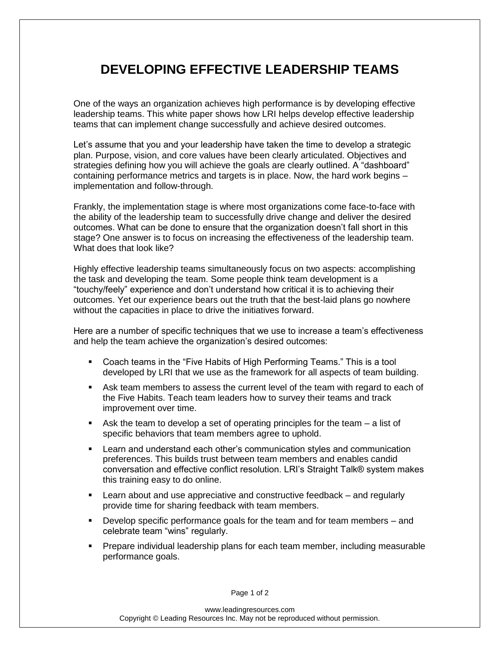## **DEVELOPING EFFECTIVE LEADERSHIP TEAMS**

One of the ways an organization achieves high performance is by developing effective leadership teams. This white paper shows how LRI helps develop effective leadership teams that can implement change successfully and achieve desired outcomes.

Let's assume that you and your leadership have taken the time to develop a strategic plan. Purpose, vision, and core values have been clearly articulated. Objectives and strategies defining how you will achieve the goals are clearly outlined. A "dashboard" containing performance metrics and targets is in place. Now, the hard work begins – implementation and follow-through.

Frankly, the implementation stage is where most organizations come face-to-face with the ability of the leadership team to successfully drive change and deliver the desired outcomes. What can be done to ensure that the organization doesn't fall short in this stage? One answer is to focus on increasing the effectiveness of the leadership team. What does that look like?

Highly effective leadership teams simultaneously focus on two aspects: accomplishing the task and developing the team. Some people think team development is a "touchy/feely" experience and don't understand how critical it is to achieving their outcomes. Yet our experience bears out the truth that the best-laid plans go nowhere without the capacities in place to drive the initiatives forward.

Here are a number of specific techniques that we use to increase a team's effectiveness and help the team achieve the organization's desired outcomes:

- Coach teams in the "Five Habits of High Performing Teams." This is a tool developed by LRI that we use as the framework for all aspects of team building.
- Ask team members to assess the current level of the team with regard to each of the Five Habits. Teach team leaders how to survey their teams and track improvement over time.
- Ask the team to develop a set of operating principles for the team a list of specific behaviors that team members agree to uphold.
- **EXECT** Learn and understand each other's communication styles and communication preferences. This builds trust between team members and enables candid conversation and effective conflict resolution. LRI's Straight Talk® system makes this training easy to do online.
- Learn about and use appreciative and constructive feedback and regularly provide time for sharing feedback with team members.
- **Develop specific performance goals for the team and for team members and** celebrate team "wins" regularly.
- Prepare individual leadership plans for each team member, including measurable performance goals.

Page 1 of 2

www.leadingresources.com Copyright © Leading Resources Inc. May not be reproduced without permission.